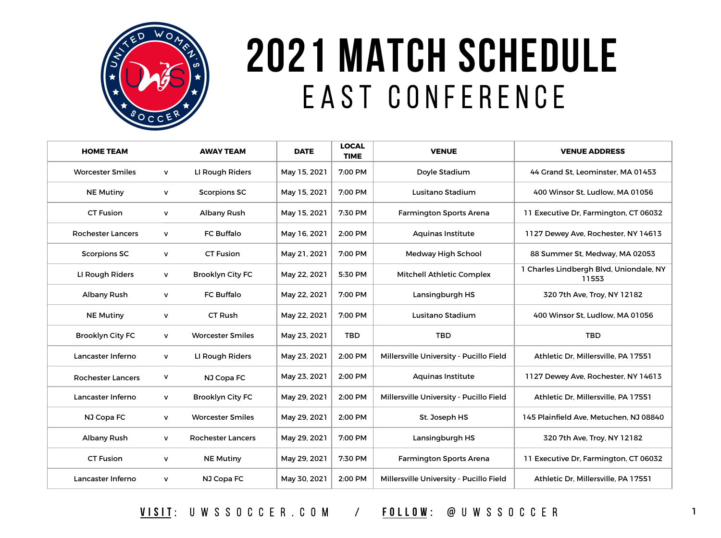

## **2021 MATCH SCHEDULE** E A S T C O N F E R E N C E

| <b>HOME TEAM</b>         |   | <b>AWAY TEAM</b>         | <b>DATE</b>  | <b>LOCAL</b><br><b>TIME</b> | <b>VENUE</b>                            | <b>VENUE ADDRESS</b>                             |
|--------------------------|---|--------------------------|--------------|-----------------------------|-----------------------------------------|--------------------------------------------------|
| <b>Worcester Smiles</b>  | V | LI Rough Riders          | May 15, 2021 | 7:00 PM                     | Doyle Stadium                           | 44 Grand St, Leominster, MA 01453                |
| <b>NE Mutiny</b>         | V | <b>Scorpions SC</b>      | May 15, 2021 | 7:00 PM                     | Lusitano Stadium                        | 400 Winsor St, Ludlow, MA 01056                  |
| <b>CT Fusion</b>         | V | <b>Albany Rush</b>       | May 15, 2021 | 7:30 PM                     | <b>Farmington Sports Arena</b>          | 11 Executive Dr, Farmington, CT 06032            |
| <b>Rochester Lancers</b> | ۷ | <b>FC Buffalo</b>        | May 16, 2021 | 2:00 PM                     | <b>Aquinas Institute</b>                | 1127 Dewey Ave, Rochester, NY 14613              |
| <b>Scorpions SC</b>      | V | <b>CT Fusion</b>         | May 21, 2021 | 7:00 PM                     | Medway High School                      | 88 Summer St, Medway, MA 02053                   |
| LI Rough Riders          | V | <b>Brooklyn City FC</b>  | May 22, 2021 | 5:30 PM                     | <b>Mitchell Athletic Complex</b>        | 1 Charles Lindbergh Blvd, Uniondale, NY<br>11553 |
| <b>Albany Rush</b>       | V | <b>FC Buffalo</b>        | May 22, 2021 | 7:00 PM                     | Lansingburgh HS                         | 320 7th Ave, Troy, NY 12182                      |
| <b>NE Mutiny</b>         | v | <b>CT Rush</b>           | May 22, 2021 | 7:00 PM                     | Lusitano Stadium                        | 400 Winsor St, Ludlow, MA 01056                  |
| <b>Brooklyn City FC</b>  | V | <b>Worcester Smiles</b>  | May 23, 2021 | <b>TBD</b>                  | <b>TBD</b>                              | <b>TBD</b>                                       |
| Lancaster Inferno        | V | LI Rough Riders          | May 23, 2021 | 2:00 PM                     | Millersville University - Pucillo Field | Athletic Dr, Millersville, PA 17551              |
| <b>Rochester Lancers</b> | v | NJ Copa FC               | May 23, 2021 | 2:00 PM                     | <b>Aquinas Institute</b>                | 1127 Dewey Ave, Rochester, NY 14613              |
| Lancaster Inferno        | V | <b>Brooklyn City FC</b>  | May 29, 2021 | 2:00 PM                     | Millersville University - Pucillo Field | Athletic Dr, Millersville, PA 17551              |
| NJ Copa FC               | V | <b>Worcester Smiles</b>  | May 29, 2021 | 2:00 PM                     | St. Joseph HS                           | 145 Plainfield Ave, Metuchen, NJ 08840           |
| <b>Albany Rush</b>       | v | <b>Rochester Lancers</b> | May 29, 2021 | 7:00 PM                     | Lansingburgh HS                         | 320 7th Ave, Troy, NY 12182                      |
| <b>CT Fusion</b>         | V | <b>NE Mutiny</b>         | May 29, 2021 | 7:30 PM                     | <b>Farmington Sports Arena</b>          | 11 Executive Dr, Farmington, CT 06032            |
| Lancaster Inferno        | V | NJ Copa FC               | May 30, 2021 | 2:00 PM                     | Millersville University - Pucillo Field | Athletic Dr, Millersville, PA 17551              |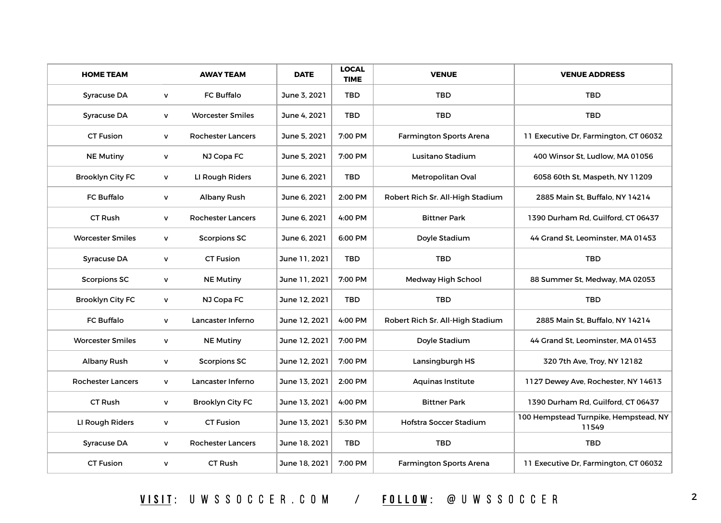| <b>HOME TEAM</b>         |              | <b>AWAY TEAM</b>         | <b>DATE</b>   | <b>LOCAL</b><br><b>TIME</b> | <b>VENUE</b>                     | <b>VENUE ADDRESS</b>                           |
|--------------------------|--------------|--------------------------|---------------|-----------------------------|----------------------------------|------------------------------------------------|
| <b>Syracuse DA</b>       | V            | <b>FC Buffalo</b>        | June 3, 2021  | <b>TBD</b>                  | <b>TBD</b>                       | <b>TBD</b>                                     |
| <b>Syracuse DA</b>       | $\mathsf{V}$ | <b>Worcester Smiles</b>  | June 4, 2021  | <b>TBD</b>                  | <b>TBD</b>                       | <b>TBD</b>                                     |
| <b>CT Fusion</b>         | V            | <b>Rochester Lancers</b> | June 5, 2021  | 7:00 PM                     | <b>Farmington Sports Arena</b>   | 11 Executive Dr, Farmington, CT 06032          |
| <b>NE Mutiny</b>         | V            | NJ Copa FC               | June 5, 2021  | 7:00 PM                     | Lusitano Stadium                 | 400 Winsor St, Ludlow, MA 01056                |
| <b>Brooklyn City FC</b>  | V            | LI Rough Riders          | June 6, 2021  | <b>TBD</b>                  | <b>Metropolitan Oval</b>         | 6058 60th St, Maspeth, NY 11209                |
| <b>FC Buffalo</b>        | V            | <b>Albany Rush</b>       | June 6, 2021  | 2:00 PM                     | Robert Rich Sr. All-High Stadium | 2885 Main St, Buffalo, NY 14214                |
| <b>CT Rush</b>           | V            | <b>Rochester Lancers</b> | June 6, 2021  | 4:00 PM                     | <b>Bittner Park</b>              | 1390 Durham Rd, Guilford, CT 06437             |
| <b>Worcester Smiles</b>  | V            | <b>Scorpions SC</b>      | June 6, 2021  | 6:00 PM                     | Doyle Stadium                    | 44 Grand St, Leominster, MA 01453              |
| <b>Syracuse DA</b>       | V            | <b>CT Fusion</b>         | June 11, 2021 | <b>TBD</b>                  | <b>TBD</b>                       | <b>TBD</b>                                     |
| <b>Scorpions SC</b>      | $\mathsf{V}$ | <b>NE Mutiny</b>         | June 11, 2021 | 7:00 PM                     | <b>Medway High School</b>        | 88 Summer St, Medway, MA 02053                 |
| <b>Brooklyn City FC</b>  | V            | NJ Copa FC               | June 12, 2021 | <b>TBD</b>                  | <b>TBD</b>                       | <b>TBD</b>                                     |
| <b>FC Buffalo</b>        | V            | Lancaster Inferno        | June 12, 2021 | 4:00 PM                     | Robert Rich Sr. All-High Stadium | 2885 Main St, Buffalo, NY 14214                |
| <b>Worcester Smiles</b>  | $\mathsf{V}$ | <b>NE Mutiny</b>         | June 12, 2021 | 7:00 PM                     | Doyle Stadium                    | 44 Grand St, Leominster, MA 01453              |
| <b>Albany Rush</b>       | V            | <b>Scorpions SC</b>      | June 12, 2021 | 7:00 PM                     | Lansingburgh HS                  | 320 7th Ave, Troy, NY 12182                    |
| <b>Rochester Lancers</b> | V            | Lancaster Inferno        | June 13, 2021 | 2:00 PM                     | <b>Aquinas Institute</b>         | 1127 Dewey Ave, Rochester, NY 14613            |
| <b>CT Rush</b>           | $\mathsf{V}$ | <b>Brooklyn City FC</b>  | June 13, 2021 | 4:00 PM                     | <b>Bittner Park</b>              | 1390 Durham Rd, Guilford, CT 06437             |
| LI Rough Riders          | $\mathsf{V}$ | <b>CT Fusion</b>         | June 13, 2021 | 5:30 PM                     | Hofstra Soccer Stadium           | 100 Hempstead Turnpike, Hempstead, NY<br>11549 |
| <b>Syracuse DA</b>       | V            | <b>Rochester Lancers</b> | June 18, 2021 | <b>TBD</b>                  | <b>TBD</b>                       | <b>TBD</b>                                     |
| <b>CT Fusion</b>         | V            | CT Rush                  | June 18, 2021 | 7:00 PM                     | <b>Farmington Sports Arena</b>   | 11 Executive Dr, Farmington, CT 06032          |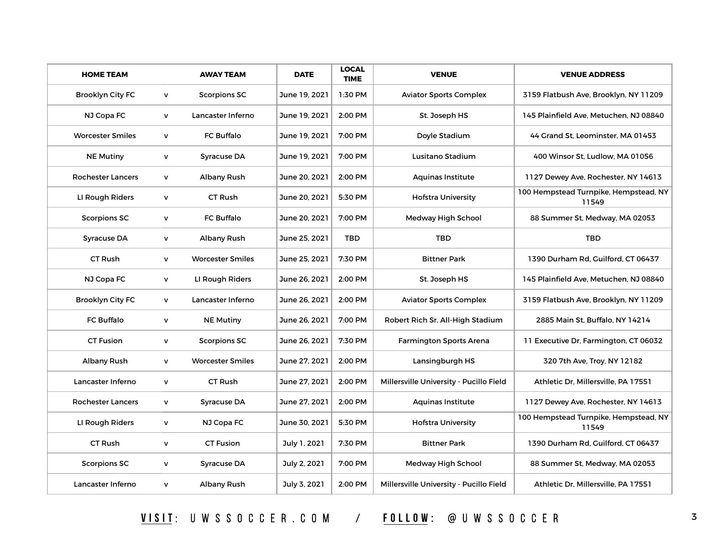| <b>HOME TEAM</b>         |              | <b>AWAY TEAM</b>        | <b>DATE</b>   | <b>LOCAL</b><br><b>TIME</b> | <b>VENUE</b>                            | <b>VENUE ADDRESS</b>                           |
|--------------------------|--------------|-------------------------|---------------|-----------------------------|-----------------------------------------|------------------------------------------------|
| <b>Brooklyn City FC</b>  | V            | <b>Scorpions SC</b>     | June 19, 2021 | 1:30 PM                     | <b>Aviator Sports Complex</b>           | 3159 Flatbush Ave, Brooklyn, NY 11209          |
| NJ Copa FC               | V            | Lancaster Inferno       | June 19, 2021 | 2:00 PM                     | St. Joseph HS                           | 145 Plainfield Ave, Metuchen, NJ 08840         |
| <b>Worcester Smiles</b>  | V            | <b>FC Buffalo</b>       | June 19, 2021 | 7:00 PM                     | Doyle Stadium                           | 44 Grand St. Leominster, MA 01453              |
| <b>NE Mutiny</b>         | V            | <b>Syracuse DA</b>      | June 19, 2021 | 7:00 PM                     | Lusitano Stadium                        | 400 Winsor St, Ludlow, MA 01056                |
| <b>Rochester Lancers</b> | V            | <b>Albany Rush</b>      | June 20, 2021 | 2:00 PM                     | <b>Aquinas Institute</b>                | 1127 Dewey Ave, Rochester, NY 14613            |
| LI Rough Riders          | V            | <b>CT Rush</b>          | June 20, 2021 | 5:30 PM                     | <b>Hofstra University</b>               | 100 Hempstead Turnpike, Hempstead, NY<br>11549 |
| <b>Scorpions SC</b>      | $\mathsf{V}$ | <b>FC Buffalo</b>       | June 20, 2021 | 7:00 PM                     | <b>Medway High School</b>               | 88 Summer St, Medway, MA 02053                 |
| <b>Syracuse DA</b>       | v            | <b>Albany Rush</b>      | June 25, 2021 | <b>TBD</b>                  | <b>TBD</b>                              | <b>TBD</b>                                     |
| <b>CT Rush</b>           | $\mathsf{v}$ | <b>Worcester Smiles</b> | June 25, 2021 | 7:30 PM                     | <b>Bittner Park</b>                     | 1390 Durham Rd, Guilford, CT 06437             |
| NJ Copa FC               | $\mathsf{V}$ | LI Rough Riders         | June 26, 2021 | 2:00 PM                     | St. Joseph HS                           | 145 Plainfield Ave, Metuchen, NJ 08840         |
| <b>Brooklyn City FC</b>  | V            | Lancaster Inferno       | June 26, 2021 | 2:00 PM                     | <b>Aviator Sports Complex</b>           | 3159 Flatbush Ave, Brooklyn, NY 11209          |
| <b>FC Buffalo</b>        | V            | <b>NE Mutiny</b>        | June 26, 2021 | 7:00 PM                     | Robert Rich Sr. All-High Stadium        | 2885 Main St, Buffalo, NY 14214                |
| <b>CT Fusion</b>         | $\mathsf{V}$ | <b>Scorpions SC</b>     | June 26, 2021 | 7:30 PM                     | <b>Farmington Sports Arena</b>          | 11 Executive Dr, Farmington, CT 06032          |
| <b>Albany Rush</b>       | $\mathsf{v}$ | <b>Worcester Smiles</b> | June 27, 2021 | 2:00 PM                     | Lansingburgh HS                         | 320 7th Ave, Troy, NY 12182                    |
| Lancaster Inferno        | V            | <b>CT Rush</b>          | June 27, 2021 | 2:00 PM                     | Millersville University - Pucillo Field | Athletic Dr, Millersville, PA 17551            |
| <b>Rochester Lancers</b> | V            | <b>Syracuse DA</b>      | June 27, 2021 | 2:00 PM                     | <b>Aquinas Institute</b>                | 1127 Dewey Ave, Rochester, NY 14613            |
| LI Rough Riders          | V            | NJ Copa FC              | June 30, 2021 | 5:30 PM                     | <b>Hofstra University</b>               | 100 Hempstead Turnpike, Hempstead, NY<br>11549 |
| <b>CT Rush</b>           | V            | <b>CT Fusion</b>        | July 1, 2021  | 7:30 PM                     | <b>Bittner Park</b>                     | 1390 Durham Rd, Guilford, CT 06437             |
| <b>Scorpions SC</b>      | V            | <b>Syracuse DA</b>      | July 2, 2021  | 7:00 PM                     | <b>Medway High School</b>               | 88 Summer St, Medway, MA 02053                 |
| Lancaster Inferno        | V            | <b>Albany Rush</b>      | July 3, 2021  | 2:00 PM                     | Millersville University - Pucillo Field | Athletic Dr, Millersville, PA 17551            |